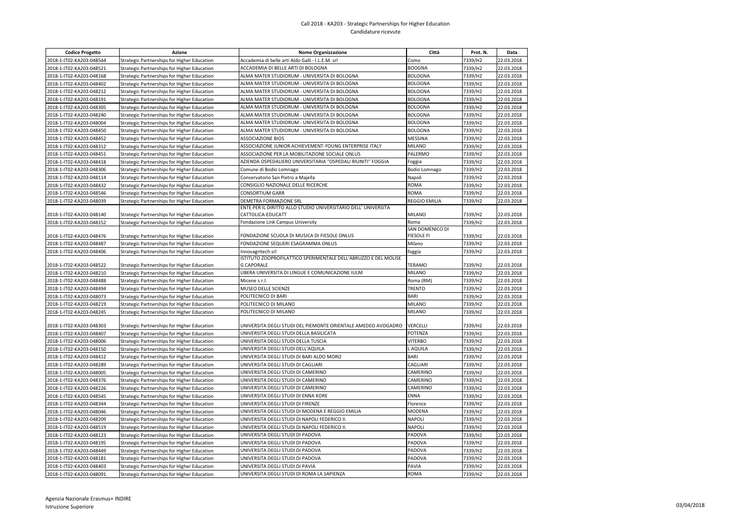## Call 2018 - KA203 - Strategic Partnerships for Higher Education Candidature ricevute

| <b>Codice Progetto</b>   | Azione                                                                                     | <b>Nome Organizzazione</b>                                                           | Città                | Prot. N. | Data       |
|--------------------------|--------------------------------------------------------------------------------------------|--------------------------------------------------------------------------------------|----------------------|----------|------------|
| 2018-1-IT02-KA203-048544 | Strategic Partnerships for Higher Education                                                | Accademia di belle arti Aldo Galli - I.L.E.M. srl                                    | Como                 | 7339/H2  | 22.03.2018 |
| 2018-1-IT02-KA203-048521 | Strategic Partnerships for Higher Education                                                | ACCADEMIA DI BELLE ARTI DI BOLOGNA                                                   | <b>BOOGNA</b>        | 7339/H2  | 22.03.2018 |
| 2018-1-IT02-KA203-048168 | Strategic Partnerships for Higher Education                                                | ALMA MATER STUDIORUM - UNIVERSITA DI BOLOGNA                                         | <b>BOLOGNA</b>       | 7339/H2  | 22.03.2018 |
| 2018-1-IT02-KA203-048402 | Strategic Partnerships for Higher Education                                                | ALMA MATER STUDIORUM - UNIVERSITA DI BOLOGNA                                         | <b>BOLOGNA</b>       | 7339/H2  | 22.03.2018 |
| 2018-1-IT02-KA203-048212 | Strategic Partnerships for Higher Education                                                | ALMA MATER STUDIORUM - UNIVERSITA DI BOLOGNA                                         | <b>BOLOGNA</b>       | 7339/H2  | 22.03.2018 |
| 2018-1-IT02-KA203-048191 | Strategic Partnerships for Higher Education                                                | ALMA MATER STUDIORUM - UNIVERSITA DI BOLOGNA                                         | <b>BOLOGNA</b>       | 7339/H2  | 22.03.2018 |
| 2018-1-IT02-KA203-048305 | Strategic Partnerships for Higher Education                                                | ALMA MATER STUDIORUM - UNIVERSITA DI BOLOGNA                                         | <b>BOLOGNA</b>       | 7339/H2  | 22.03.2018 |
| 2018-1-IT02-KA203-048240 | Strategic Partnerships for Higher Education                                                | ALMA MATER STUDIORUM - UNIVERSITA DI BOLOGNA                                         | <b>BOLOGNA</b>       | 7339/H2  | 22.03.2018 |
| 2018-1-IT02-KA203-048004 | Strategic Partnerships for Higher Education                                                | ALMA MATER STUDIORUM - UNIVERSITA DI BOLOGNA                                         | <b>BOLOGNA</b>       | 7339/H2  | 22.03.2018 |
| 2018-1-IT02-KA203-048450 | Strategic Partnerships for Higher Education                                                | ALMA MATER STUDIORUM - UNIVERSITA DI BOLOGNA                                         | <b>BOLOGNA</b>       | 7339/H2  | 22.03.2018 |
| 2018-1-IT02-KA203-048452 | Strategic Partnerships for Higher Education                                                | <b>ASSOCIAZIONE BIOS</b>                                                             | MESSINA              | 7339/H2  | 22.03.2018 |
| 2018-1-IT02-KA203-048312 | Strategic Partnerships for Higher Education                                                | ASSOCIAZIONE JUNIOR ACHIEVEMENT-YOUNG ENTERPRISE ITALY                               | MILANO               | 7339/H2  | 22.03.2018 |
| 2018-1-IT02-KA203-048451 | Strategic Partnerships for Higher Education                                                | ASSOCIAZIONE PER LA MOBILITAZIONE SOCIALE ONLUS                                      | PALERMO              | 7339/H2  | 22.03.2018 |
| 2018-1-IT02-KA203-048418 | Strategic Partnerships for Higher Education                                                | AZIENDA OSPEDALIERO UNIVERSITARIA "OSPEDALI RIUNITI" FOGGIA                          | Foggia               | 7339/H2  | 22.03.2018 |
| 2018-1-IT02-KA203-048306 | Strategic Partnerships for Higher Education                                                | Comune di Bodio Lomnago                                                              | Bodio Lomnago        | 7339/H2  | 22.03.2018 |
| 2018-1-IT02-KA203-048114 | Strategic Partnerships for Higher Education                                                | Conservatorio San Pietro a Majella                                                   | Napoli               | 7339/H2  | 22.03.2018 |
| 2018-1-IT02-KA203-048432 | Strategic Partnerships for Higher Education                                                | CONSIGLIO NAZIONALE DELLE RICERCHE                                                   | ROMA                 | 7339/H2  | 22.03.2018 |
| 2018-1-IT02-KA203-048546 | Strategic Partnerships for Higher Education                                                | CONSORTIUM GARR                                                                      | <b>ROMA</b>          | 7339/H2  | 22.03.2018 |
| 2018-1-IT02-KA203-048039 | Strategic Partnerships for Higher Education                                                | DEMETRA FORMAZIONE SRL                                                               | <b>REGGIO EMILIA</b> | 7339/H2  | 22.03.2018 |
|                          |                                                                                            | ENTE PER IL DIRITTO ALLO STUDIO UNIVERSITARIO DELL' UNIVERSITA                       |                      |          |            |
| 2018-1-IT02-KA203-048140 | Strategic Partnerships for Higher Education                                                | CATTOLICA-EDUCATT                                                                    | <b>MILANO</b>        | 7339/H2  | 22.03.2018 |
| 2018-1-IT02-KA203-048152 | Strategic Partnerships for Higher Education                                                | Fondazione Link Campus University                                                    | Roma                 | 7339/H2  | 22.03.2018 |
|                          |                                                                                            |                                                                                      | SAN DOMENICO DI      |          |            |
| 2018-1-IT02-KA203-048476 | Strategic Partnerships for Higher Education                                                | FONDAZIONE SCUOLA DI MUSICA DI FIESOLE ONLUS                                         | FIESOLE FI           | 7339/H2  | 22.03.2018 |
| 2018-1-IT02-KA203-048487 | Strategic Partnerships for Higher Education                                                | FONDAZIONE SEQUERI ESAGRAMMA ONLUS                                                   | Milano               | 7339/H2  | 22.03.2018 |
| 2018-1-IT02-KA203-048406 | Strategic Partnerships for Higher Education                                                | Innovagritech srl                                                                    | foggia               | 7339/H2  | 22.03.2018 |
| 2018-1-IT02-KA203-048522 |                                                                                            | ISTITUTO ZOOPROFILATTICO SPERIMENTALE DELL'ABRUZZO E DEL MOLISE<br><b>G CAPORALE</b> | TERAMO               | 7339/H2  | 22.03.2018 |
| 2018-1-IT02-KA203-048210 | Strategic Partnerships for Higher Education<br>Strategic Partnerships for Higher Education | LIBERA UNIVERSITA DI LINGUE E COMUNICAZIONE IULM                                     | <b>MILANO</b>        | 7339/H2  | 22.03.2018 |
| 2018-1-IT02-KA203-048488 | Strategic Partnerships for Higher Education                                                | Micene s.r.l.                                                                        | Roma (RM)            | 7339/H2  | 22.03.2018 |
| 2018-1-IT02-KA203-048494 | Strategic Partnerships for Higher Education                                                | MUSEO DELLE SCIENZE                                                                  | <b>TRENTO</b>        | 7339/H2  | 22.03.2018 |
| 2018-1-IT02-KA203-048073 | Strategic Partnerships for Higher Education                                                | POLITECNICO DI BARI                                                                  | <b>BARI</b>          | 7339/H2  | 22.03.2018 |
| 2018-1-IT02-KA203-048219 | Strategic Partnerships for Higher Education                                                | POLITECNICO DI MILANO                                                                | MILANO               | 7339/H2  | 22.03.2018 |
| 2018-1-IT02-KA203-048245 | Strategic Partnerships for Higher Education                                                | POLITECNICO DI MILANO                                                                | <b>MILANO</b>        | 7339/H2  | 22.03.2018 |
|                          |                                                                                            |                                                                                      |                      |          |            |
| 2018-1-IT02-KA203-048303 | Strategic Partnerships for Higher Education                                                | UNIVERSITA DEGLI STUDI DEL PIEMONTE ORIENTALE AMEDEO AVOGADRO                        | VERCELLI             | 7339/H2  | 22.03.2018 |
| 2018-1-IT02-KA203-048407 | Strategic Partnerships for Higher Education                                                | UNIVERSITA DEGLI STUDI DELLA BASILICATA                                              | POTENZA              | 7339/H2  | 22.03.2018 |
| 2018-1-IT02-KA203-048006 | Strategic Partnerships for Higher Education                                                | UNIVERSITA DEGLI STUDI DELLA TUSCIA                                                  | <b>VITERBO</b>       | 7339/H2  | 22.03.2018 |
| 2018-1-IT02-KA203-048150 | Strategic Partnerships for Higher Education                                                | UNIVERSITA DEGLI STUDI DELL'AQUILA                                                   | L AQUILA             | 7339/H2  | 22.03.2018 |
| 2018-1-IT02-KA203-048412 | Strategic Partnerships for Higher Education                                                | UNIVERSITA DEGLI STUDI DI BARI ALDO MORO                                             | BARI                 | 7339/H2  | 22.03.2018 |
| 2018-1-IT02-KA203-048289 | Strategic Partnerships for Higher Education                                                | UNIVERSITA DEGLI STUDI DI CAGLIARI                                                   | CAGLIARI             | 7339/H2  | 22.03.2018 |
| 2018-1-IT02-KA203-048005 | Strategic Partnerships for Higher Education                                                | UNIVERSITA DEGLI STUDI DI CAMERINO                                                   | CAMERINO             | 7339/H2  | 22.03.2018 |
| 2018-1-IT02-KA203-048376 | Strategic Partnerships for Higher Education                                                | UNIVERSITA DEGLI STUDI DI CAMERINO                                                   | CAMERINO             | 7339/H2  | 22.03.2018 |
| 2018-1-IT02-KA203-048226 | Strategic Partnerships for Higher Education                                                | UNIVERSITA DEGLI STUDI DI CAMERINO                                                   | CAMERINO             | 7339/H2  | 22.03.2018 |
| 2018-1-IT02-KA203-048545 | Strategic Partnerships for Higher Education                                                | UNIVERSITA DEGLI STUDI DI ENNA KORE                                                  | ENNA                 | 7339/H2  | 22.03.2018 |
| 2018-1-IT02-KA203-048344 | Strategic Partnerships for Higher Education                                                | UNIVERSITA DEGLI STUDI DI FIRENZE                                                    | Florence             | 7339/H2  | 22.03.2018 |
| 2018-1-IT02-KA203-048046 | Strategic Partnerships for Higher Education                                                | UNIVERSITA DEGLI STUDI DI MODENA E REGGIO EMILIA                                     | MODENA               | 7339/H2  | 22.03.2018 |
| 2018-1-IT02-KA203-048209 | Strategic Partnerships for Higher Education                                                | UNIVERSITA DEGLI STUDI DI NAPOLI FEDERICO II.                                        | <b>NAPOLI</b>        | 7339/H2  | 22.03.2018 |
| 2018-1-IT02-KA203-048519 | Strategic Partnerships for Higher Education                                                | UNIVERSITA DEGLI STUDI DI NAPOLI FEDERICO II.                                        | NAPOLI               | 7339/H2  | 22.03.2018 |
| 2018-1-IT02-KA203-048123 | Strategic Partnerships for Higher Education                                                | UNIVERSITA DEGLI STUDI DI PADOVA                                                     | PADOVA               | 7339/H2  | 22.03.2018 |
| 2018-1-IT02-KA203-048195 | Strategic Partnerships for Higher Education                                                | UNIVERSITA DEGLI STUDI DI PADOVA                                                     | PADOVA               | 7339/H2  | 22.03.2018 |
| 2018-1-IT02-KA203-048449 | Strategic Partnerships for Higher Education                                                | UNIVERSITA DEGLI STUDI DI PADOVA                                                     | PADOVA               | 7339/H2  | 22.03.2018 |
| 2018-1-IT02-KA203-048181 | Strategic Partnerships for Higher Education                                                | UNIVERSITA DEGLI STUDI DI PADOVA                                                     | PADOVA               | 7339/H2  | 22.03.2018 |
| 2018-1-IT02-KA203-048403 | Strategic Partnerships for Higher Education                                                | UNIVERSITA DEGLI STUDI DI PAVIA                                                      | PAVIA                | 7339/H2  | 22.03.2018 |
| 2018-1-IT02-KA203-048091 | Strategic Partnerships for Higher Education                                                | UNIVERSITA DEGLI STUDI DI ROMA LA SAPIENZA                                           | <b>ROMA</b>          | 7339/H2  | 22.03.2018 |